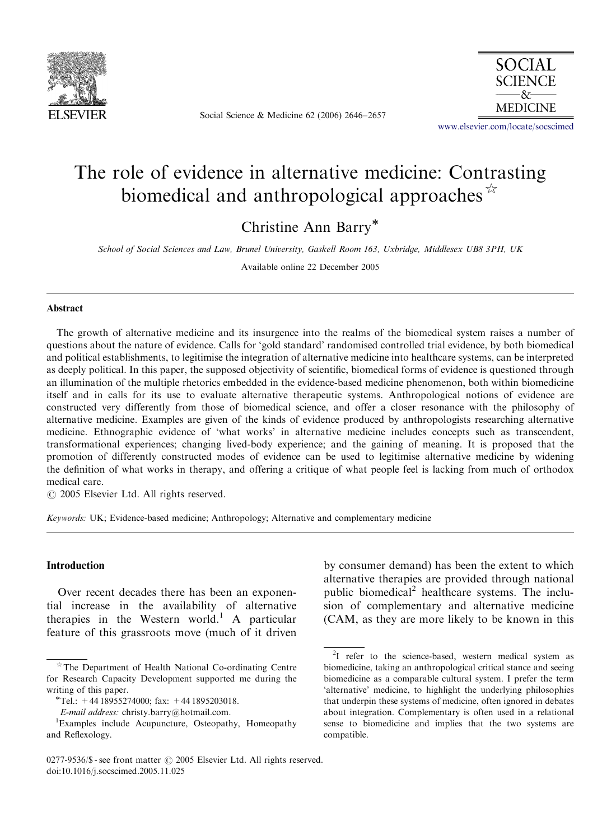

Social Science & Medicine 62 (2006) 2646–2657



<www.elsevier.com/locate/socscimed>

# The role of evidence in alternative medicine: Contrasting biomedical and anthropological approaches  $\overrightarrow{a}$

Christine Ann Barry

School of Social Sciences and Law, Brunel University, Gaskell Room 163, Uxbridge, Middlesex UB8 3PH, UK

Available online 22 December 2005

#### Abstract

The growth of alternative medicine and its insurgence into the realms of the biomedical system raises a number of questions about the nature of evidence. Calls for 'gold standard' randomised controlled trial evidence, by both biomedical and political establishments, to legitimise the integration of alternative medicine into healthcare systems, can be interpreted as deeply political. In this paper, the supposed objectivity of scientific, biomedical forms of evidence is questioned through an illumination of the multiple rhetorics embedded in the evidence-based medicine phenomenon, both within biomedicine itself and in calls for its use to evaluate alternative therapeutic systems. Anthropological notions of evidence are constructed very differently from those of biomedical science, and offer a closer resonance with the philosophy of alternative medicine. Examples are given of the kinds of evidence produced by anthropologists researching alternative medicine. Ethnographic evidence of 'what works' in alternative medicine includes concepts such as transcendent, transformational experiences; changing lived-body experience; and the gaining of meaning. It is proposed that the promotion of differently constructed modes of evidence can be used to legitimise alternative medicine by widening the definition of what works in therapy, and offering a critique of what people feel is lacking from much of orthodox medical care.

 $O$  2005 Elsevier Ltd. All rights reserved.

Keywords: UK; Evidence-based medicine; Anthropology; Alternative and complementary medicine

## Introduction

Over recent decades there has been an exponential increase in the availability of alternative therapies in the Western world.<sup>1</sup> A particular feature of this grassroots move (much of it driven by consumer demand) has been the extent to which alternative therapies are provided through national public biomedical<sup>2</sup> healthcare systems. The inclusion of complementary and alternative medicine (CAM, as they are more likely to be known in this

 $*$  The Department of Health National Co-ordinating Centre for Research Capacity Development supported me during the writing of this paper.<br> $*$ Tel.: +44 18955274000; fax: +44 1895203018.

E-mail address: christy.barry@hotmail.com.

Examples include Acupuncture, Osteopathy, Homeopathy and Reflexology.

<sup>&</sup>lt;sup>2</sup>I refer to the science-based, western medical system as biomedicine, taking an anthropological critical stance and seeing biomedicine as a comparable cultural system. I prefer the term 'alternative' medicine, to highlight the underlying philosophies that underpin these systems of medicine, often ignored in debates about integration. Complementary is often used in a relational sense to biomedicine and implies that the two systems are compatible.

<sup>0277-9536/\$ -</sup> see front matter  $\odot$  2005 Elsevier Ltd. All rights reserved. doi:10.1016/j.socscimed.2005.11.025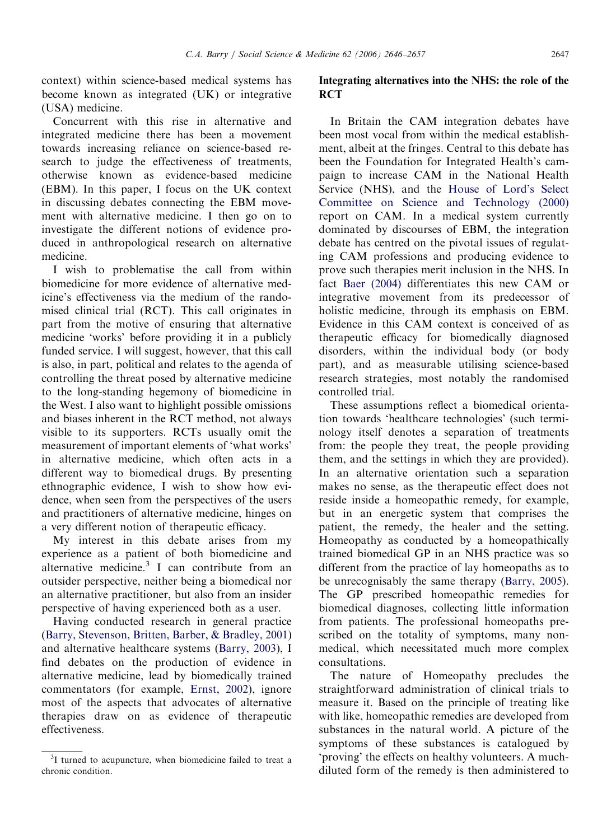context) within science-based medical systems has become known as integrated (UK) or integrative (USA) medicine.

Concurrent with this rise in alternative and integrated medicine there has been a movement towards increasing reliance on science-based research to judge the effectiveness of treatments, otherwise known as evidence-based medicine (EBM). In this paper, I focus on the UK context in discussing debates connecting the EBM movement with alternative medicine. I then go on to investigate the different notions of evidence produced in anthropological research on alternative medicine.

I wish to problematise the call from within biomedicine for more evidence of alternative medicine's effectiveness via the medium of the randomised clinical trial (RCT). This call originates in part from the motive of ensuring that alternative medicine 'works' before providing it in a publicly funded service. I will suggest, however, that this call is also, in part, political and relates to the agenda of controlling the threat posed by alternative medicine to the long-standing hegemony of biomedicine in the West. I also want to highlight possible omissions and biases inherent in the RCT method, not always visible to its supporters. RCTs usually omit the measurement of important elements of 'what works' in alternative medicine, which often acts in a different way to biomedical drugs. By presenting ethnographic evidence, I wish to show how evidence, when seen from the perspectives of the users and practitioners of alternative medicine, hinges on a very different notion of therapeutic efficacy.

My interest in this debate arises from my experience as a patient of both biomedicine and alternative medicine.<sup>3</sup> I can contribute from an outsider perspective, neither being a biomedical nor an alternative practitioner, but also from an insider perspective of having experienced both as a user.

Having conducted research in general practice [\(Barry, Stevenson, Britten, Barber, & Bradley, 2001\)](#page-10-0) and alternative healthcare systems [\(Barry, 2003](#page-10-0)), I find debates on the production of evidence in alternative medicine, lead by biomedically trained commentators (for example, [Ernst, 2002\)](#page-10-0), ignore most of the aspects that advocates of alternative therapies draw on as evidence of therapeutic effectiveness.

## Integrating alternatives into the NHS: the role of the **RCT**

In Britain the CAM integration debates have been most vocal from within the medical establishment, albeit at the fringes. Central to this debate has been the Foundation for Integrated Health's campaign to increase CAM in the National Health Service (NHS), and the [House of Lord's Select](#page-10-0) [Committee on Science and Technology \(2000\)](#page-10-0) report on CAM. In a medical system currently dominated by discourses of EBM, the integration debate has centred on the pivotal issues of regulating CAM professions and producing evidence to prove such therapies merit inclusion in the NHS. In fact [Baer \(2004\)](#page-10-0) differentiates this new CAM or integrative movement from its predecessor of holistic medicine, through its emphasis on EBM. Evidence in this CAM context is conceived of as therapeutic efficacy for biomedically diagnosed disorders, within the individual body (or body part), and as measurable utilising science-based research strategies, most notably the randomised controlled trial.

These assumptions reflect a biomedical orientation towards 'healthcare technologies' (such terminology itself denotes a separation of treatments from: the people they treat, the people providing them, and the settings in which they are provided). In an alternative orientation such a separation makes no sense, as the therapeutic effect does not reside inside a homeopathic remedy, for example, but in an energetic system that comprises the patient, the remedy, the healer and the setting. Homeopathy as conducted by a homeopathically trained biomedical GP in an NHS practice was so different from the practice of lay homeopaths as to be unrecognisably the same therapy [\(Barry, 2005](#page-10-0)). The GP prescribed homeopathic remedies for biomedical diagnoses, collecting little information from patients. The professional homeopaths prescribed on the totality of symptoms, many nonmedical, which necessitated much more complex consultations.

The nature of Homeopathy precludes the straightforward administration of clinical trials to measure it. Based on the principle of treating like with like, homeopathic remedies are developed from substances in the natural world. A picture of the symptoms of these substances is catalogued by 'proving' the effects on healthy volunteers. A muchdiluted form of the remedy is then administered to

<sup>&</sup>lt;sup>3</sup>I turned to acupuncture, when biomedicine failed to treat a chronic condition.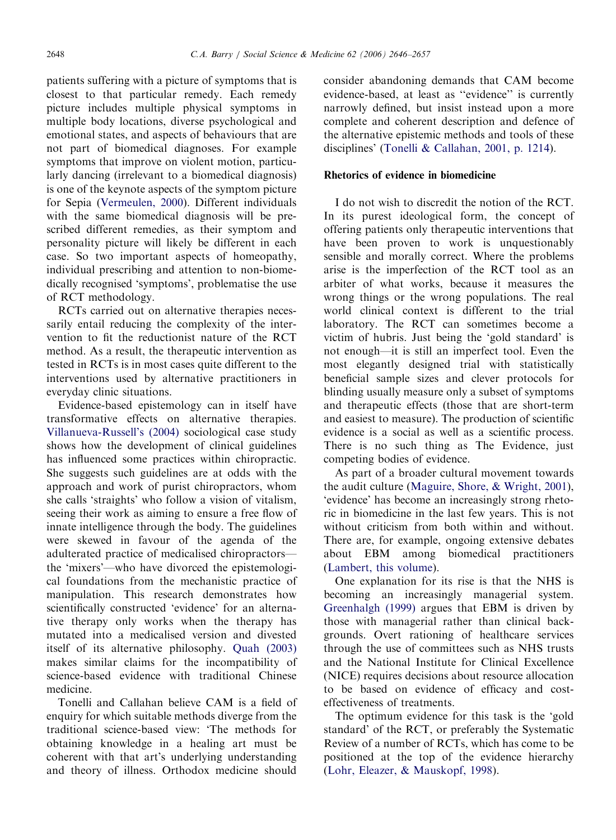patients suffering with a picture of symptoms that is closest to that particular remedy. Each remedy picture includes multiple physical symptoms in multiple body locations, diverse psychological and emotional states, and aspects of behaviours that are not part of biomedical diagnoses. For example symptoms that improve on violent motion, particularly dancing (irrelevant to a biomedical diagnosis) is one of the keynote aspects of the symptom picture for Sepia ([Vermeulen, 2000\)](#page-11-0). Different individuals with the same biomedical diagnosis will be prescribed different remedies, as their symptom and personality picture will likely be different in each case. So two important aspects of homeopathy, individual prescribing and attention to non-biomedically recognised 'symptoms', problematise the use of RCT methodology.

RCTs carried out on alternative therapies necessarily entail reducing the complexity of the intervention to fit the reductionist nature of the RCT method. As a result, the therapeutic intervention as tested in RCTs is in most cases quite different to the interventions used by alternative practitioners in everyday clinic situations.

Evidence-based epistemology can in itself have transformative effects on alternative therapies. [Villanueva-Russell's \(2004\)](#page-11-0) sociological case study shows how the development of clinical guidelines has influenced some practices within chiropractic. She suggests such guidelines are at odds with the approach and work of purist chiropractors, whom she calls 'straights' who follow a vision of vitalism, seeing their work as aiming to ensure a free flow of innate intelligence through the body. The guidelines were skewed in favour of the agenda of the adulterated practice of medicalised chiropractors the 'mixers'—who have divorced the epistemological foundations from the mechanistic practice of manipulation. This research demonstrates how scientifically constructed 'evidence' for an alternative therapy only works when the therapy has mutated into a medicalised version and divested itself of its alternative philosophy. [Quah \(2003\)](#page-11-0) makes similar claims for the incompatibility of science-based evidence with traditional Chinese medicine.

Tonelli and Callahan believe CAM is a field of enquiry for which suitable methods diverge from the traditional science-based view: 'The methods for obtaining knowledge in a healing art must be coherent with that art's underlying understanding and theory of illness. Orthodox medicine should

consider abandoning demands that CAM become evidence-based, at least as ''evidence'' is currently narrowly defined, but insist instead upon a more complete and coherent description and defence of the alternative epistemic methods and tools of these disciplines' [\(Tonelli & Callahan, 2001, p. 1214\)](#page-11-0).

# Rhetorics of evidence in biomedicine

I do not wish to discredit the notion of the RCT. In its purest ideological form, the concept of offering patients only therapeutic interventions that have been proven to work is unquestionably sensible and morally correct. Where the problems arise is the imperfection of the RCT tool as an arbiter of what works, because it measures the wrong things or the wrong populations. The real world clinical context is different to the trial laboratory. The RCT can sometimes become a victim of hubris. Just being the 'gold standard' is not enough—it is still an imperfect tool. Even the most elegantly designed trial with statistically beneficial sample sizes and clever protocols for blinding usually measure only a subset of symptoms and therapeutic effects (those that are short-term and easiest to measure). The production of scientific evidence is a social as well as a scientific process. There is no such thing as The Evidence, just competing bodies of evidence.

As part of a broader cultural movement towards the audit culture ([Maguire, Shore,](#page-10-0) & [Wright, 2001](#page-10-0)), 'evidence' has become an increasingly strong rhetoric in biomedicine in the last few years. This is not without criticism from both within and without. There are, for example, ongoing extensive debates about EBM among biomedical practitioners ([Lambert, this volume\)](#page-10-0).

One explanation for its rise is that the NHS is becoming an increasingly managerial system. [Greenhalgh \(1999\)](#page-10-0) argues that EBM is driven by those with managerial rather than clinical backgrounds. Overt rationing of healthcare services through the use of committees such as NHS trusts and the National Institute for Clinical Excellence (NICE) requires decisions about resource allocation to be based on evidence of efficacy and costeffectiveness of treatments.

The optimum evidence for this task is the 'gold standard' of the RCT, or preferably the Systematic Review of a number of RCTs, which has come to be positioned at the top of the evidence hierarchy ([Lohr, Eleazer,](#page-10-0) [& Mauskopf, 1998\)](#page-10-0).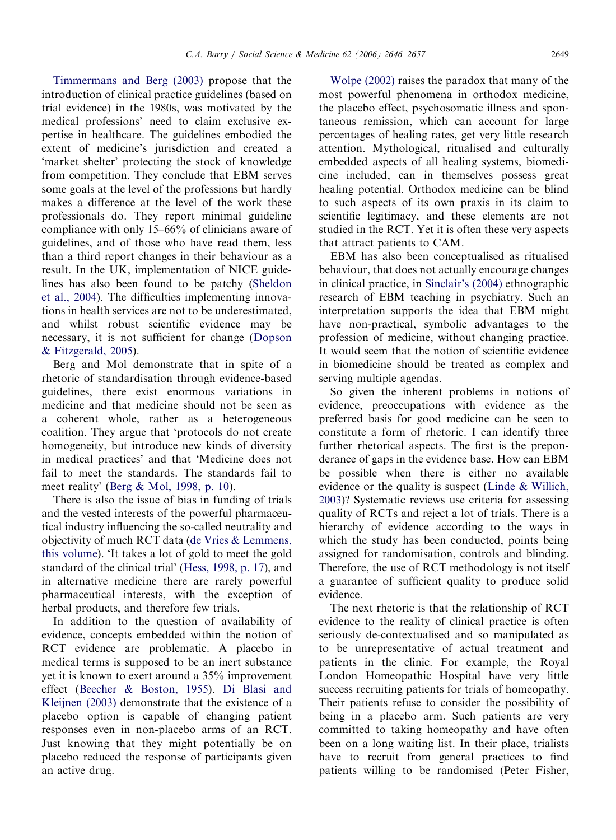[Timmermans and Berg \(2003\)](#page-11-0) propose that the introduction of clinical practice guidelines (based on trial evidence) in the 1980s, was motivated by the medical professions' need to claim exclusive expertise in healthcare. The guidelines embodied the extent of medicine's jurisdiction and created a 'market shelter' protecting the stock of knowledge from competition. They conclude that EBM serves some goals at the level of the professions but hardly makes a difference at the level of the work these professionals do. They report minimal guideline compliance with only 15–66% of clinicians aware of guidelines, and of those who have read them, less than a third report changes in their behaviour as a result. In the UK, implementation of NICE guidelines has also been found to be patchy [\(Sheldon](#page-11-0) [et al., 2004](#page-11-0)). The difficulties implementing innovations in health services are not to be underestimated, and whilst robust scientific evidence may be necessary, it is not sufficient for change ([Dopson](#page-10-0) & [Fitzgerald, 2005](#page-10-0)).

Berg and Mol demonstrate that in spite of a rhetoric of standardisation through evidence-based guidelines, there exist enormous variations in medicine and that medicine should not be seen as a coherent whole, rather as a heterogeneous coalition. They argue that 'protocols do not create homogeneity, but introduce new kinds of diversity in medical practices' and that 'Medicine does not fail to meet the standards. The standards fail to meet reality' ([Berg & Mol, 1998, p. 10\)](#page-10-0).

There is also the issue of bias in funding of trials and the vested interests of the powerful pharmaceutical industry influencing the so-called neutrality and objectivity of much RCT data [\(de Vries](#page-10-0) [& Lemmens,](#page-10-0) [this volume](#page-10-0)). 'It takes a lot of gold to meet the gold standard of the clinical trial' [\(Hess, 1998, p. 17](#page-10-0)), and in alternative medicine there are rarely powerful pharmaceutical interests, with the exception of herbal products, and therefore few trials.

In addition to the question of availability of evidence, concepts embedded within the notion of RCT evidence are problematic. A placebo in medical terms is supposed to be an inert substance yet it is known to exert around a 35% improvement effect ([Beecher](#page-10-0) & [Boston, 1955](#page-10-0)). [Di Blasi and](#page-10-0) [Kleijnen \(2003\)](#page-10-0) demonstrate that the existence of a placebo option is capable of changing patient responses even in non-placebo arms of an RCT. Just knowing that they might potentially be on placebo reduced the response of participants given an active drug.

[Wolpe \(2002\)](#page-11-0) raises the paradox that many of the most powerful phenomena in orthodox medicine, the placebo effect, psychosomatic illness and spontaneous remission, which can account for large percentages of healing rates, get very little research attention. Mythological, ritualised and culturally embedded aspects of all healing systems, biomedicine included, can in themselves possess great healing potential. Orthodox medicine can be blind to such aspects of its own praxis in its claim to scientific legitimacy, and these elements are not studied in the RCT. Yet it is often these very aspects that attract patients to CAM.

EBM has also been conceptualised as ritualised behaviour, that does not actually encourage changes in clinical practice, in [Sinclair's \(2004\)](#page-11-0) ethnographic research of EBM teaching in psychiatry. Such an interpretation supports the idea that EBM might have non-practical, symbolic advantages to the profession of medicine, without changing practice. It would seem that the notion of scientific evidence in biomedicine should be treated as complex and serving multiple agendas.

So given the inherent problems in notions of evidence, preoccupations with evidence as the preferred basis for good medicine can be seen to constitute a form of rhetoric. I can identify three further rhetorical aspects. The first is the preponderance of gaps in the evidence base. How can EBM be possible when there is either no available evidence or the quality is suspect ([Linde & Willich,](#page-10-0) [2003\)](#page-10-0)? Systematic reviews use criteria for assessing quality of RCTs and reject a lot of trials. There is a hierarchy of evidence according to the ways in which the study has been conducted, points being assigned for randomisation, controls and blinding. Therefore, the use of RCT methodology is not itself a guarantee of sufficient quality to produce solid evidence.

The next rhetoric is that the relationship of RCT evidence to the reality of clinical practice is often seriously de-contextualised and so manipulated as to be unrepresentative of actual treatment and patients in the clinic. For example, the Royal London Homeopathic Hospital have very little success recruiting patients for trials of homeopathy. Their patients refuse to consider the possibility of being in a placebo arm. Such patients are very committed to taking homeopathy and have often been on a long waiting list. In their place, trialists have to recruit from general practices to find patients willing to be randomised (Peter Fisher,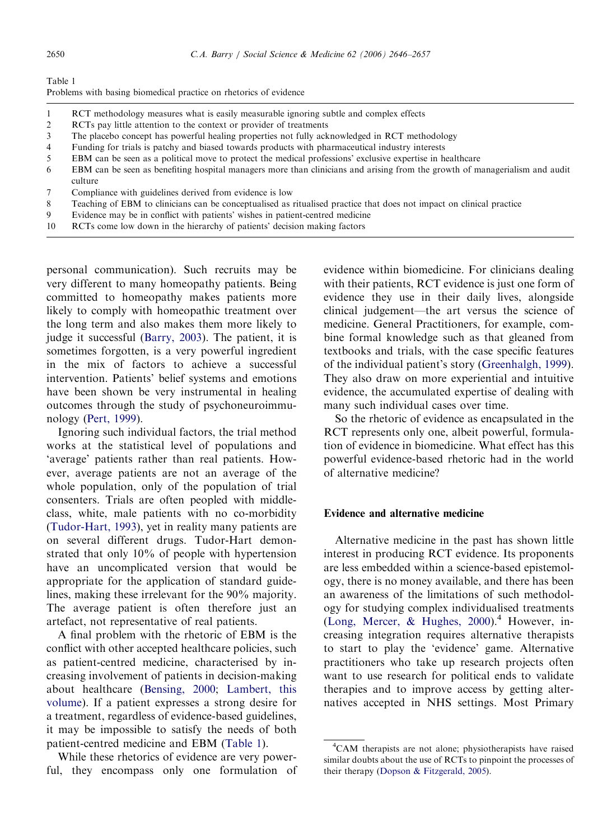| Table 1 |  |                                                                   |  |  |  |
|---------|--|-------------------------------------------------------------------|--|--|--|
|         |  | Problems with basing biomedical practice on rhetorics of evidence |  |  |  |

- 1 RCT methodology measures what is easily measurable ignoring subtle and complex effects<br>2 RCTs pay little attention to the context or provider of treatments
- RCTs pay little attention to the context or provider of treatments
- 3 The placebo concept has powerful healing properties not fully acknowledged in RCT methodology<br>4 Funding for trials is patchy and biased towards products with pharmaceutical industry interests
- 4 Funding for trials is patchy and biased towards products with pharmaceutical industry interests<br>5 EBM can be seen as a political move to protect the medical professions' exclusive expertise in he
- EBM can be seen as a political move to protect the medical professions' exclusive expertise in healthcare
- 6 EBM can be seen as benefiting hospital managers more than clinicians and arising from the growth of managerialism and audit culture
- 7 Compliance with guidelines derived from evidence is low
- 8 Teaching of EBM to clinicians can be conceptualised as ritualised practice that does not impact on clinical practice<br>9 Evidence may be in conflict with patients' wishes in patient-centred medicine
- Evidence may be in conflict with patients' wishes in patient-centred medicine
- 10 RCTs come low down in the hierarchy of patients' decision making factors

personal communication). Such recruits may be very different to many homeopathy patients. Being committed to homeopathy makes patients more likely to comply with homeopathic treatment over the long term and also makes them more likely to judge it successful [\(Barry, 2003\)](#page-10-0). The patient, it is sometimes forgotten, is a very powerful ingredient in the mix of factors to achieve a successful intervention. Patients' belief systems and emotions have been shown be very instrumental in healing outcomes through the study of psychoneuroimmunology [\(Pert, 1999\)](#page-11-0).

Ignoring such individual factors, the trial method works at the statistical level of populations and 'average' patients rather than real patients. However, average patients are not an average of the whole population, only of the population of trial consenters. Trials are often peopled with middleclass, white, male patients with no co-morbidity ([Tudor-Hart, 1993\)](#page-11-0), yet in reality many patients are on several different drugs. Tudor-Hart demonstrated that only 10% of people with hypertension have an uncomplicated version that would be appropriate for the application of standard guidelines, making these irrelevant for the 90% majority. The average patient is often therefore just an artefact, not representative of real patients.

A final problem with the rhetoric of EBM is the conflict with other accepted healthcare policies, such as patient-centred medicine, characterised by increasing involvement of patients in decision-making about healthcare [\(Bensing, 2000;](#page-10-0) [Lambert, this](#page-10-0) [volume](#page-10-0)). If a patient expresses a strong desire for a treatment, regardless of evidence-based guidelines, it may be impossible to satisfy the needs of both patient-centred medicine and EBM (Table 1).

While these rhetorics of evidence are very powerful, they encompass only one formulation of evidence within biomedicine. For clinicians dealing with their patients, RCT evidence is just one form of evidence they use in their daily lives, alongside clinical judgement—the art versus the science of medicine. General Practitioners, for example, combine formal knowledge such as that gleaned from textbooks and trials, with the case specific features of the individual patient's story ([Greenhalgh, 1999](#page-10-0)). They also draw on more experiential and intuitive evidence, the accumulated expertise of dealing with many such individual cases over time.

So the rhetoric of evidence as encapsulated in the RCT represents only one, albeit powerful, formulation of evidence in biomedicine. What effect has this powerful evidence-based rhetoric had in the world of alternative medicine?

## Evidence and alternative medicine

Alternative medicine in the past has shown little interest in producing RCT evidence. Its proponents are less embedded within a science-based epistemology, there is no money available, and there has been an awareness of the limitations of such methodology for studying complex individualised treatments (Long, Mercer,  $\&$  Hughes, 2000).<sup>4</sup> However, increasing integration requires alternative therapists to start to play the 'evidence' game. Alternative practitioners who take up research projects often want to use research for political ends to validate therapies and to improve access by getting alternatives accepted in NHS settings. Most Primary

<sup>4</sup> CAM therapists are not alone; physiotherapists have raised similar doubts about the use of RCTs to pinpoint the processes of their therapy ([Dopson & Fitzgerald, 2005\)](#page-10-0).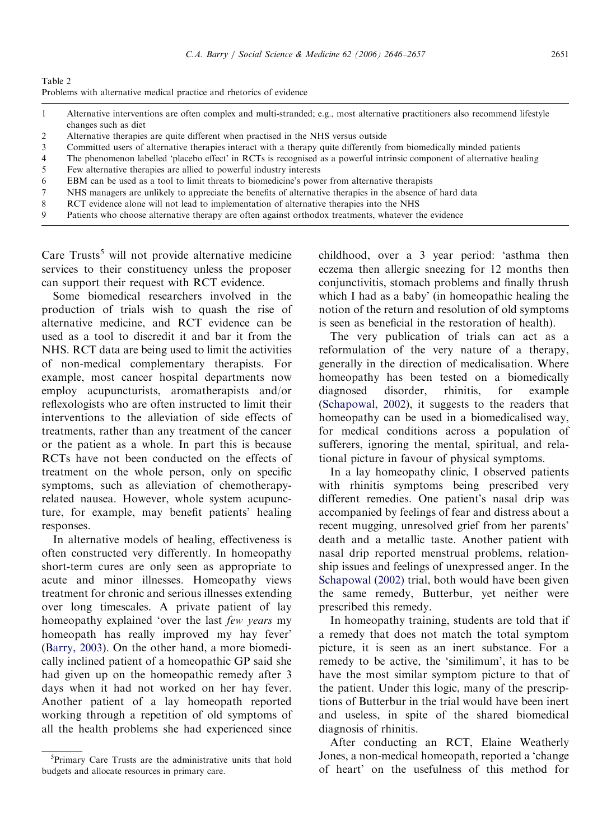<span id="page-5-0"></span>

| Table 2 |                                                                      |  |  |  |  |
|---------|----------------------------------------------------------------------|--|--|--|--|
|         | Problems with alternative medical practice and rhetorics of evidence |  |  |  |  |

- 1 Alternative interventions are often complex and multi-stranded; e.g., most alternative practitioners also recommend lifestyle changes such as diet
- 2 Alternative therapies are quite different when practised in the NHS versus outside
- 3 Committed users of alternative therapies interact with a therapy quite differently from biomedically minded patients
- 4 The phenomenon labelled 'placebo effect' in RCTs is recognised as a powerful intrinsic component of alternative healing
- 5 Few alternative therapies are allied to powerful industry interests
- 6 EBM can be used as a tool to limit threats to biomedicine's power from alternative therapists
- 7 NHS managers are unlikely to appreciate the benefits of alternative therapies in the absence of hard data
- 8 RCT evidence alone will not lead to implementation of alternative therapies into the NHS
- 9 Patients who choose alternative therapy are often against orthodox treatments, whatever the evidence

Care Trusts<sup>5</sup> will not provide alternative medicine services to their constituency unless the proposer can support their request with RCT evidence.

Some biomedical researchers involved in the production of trials wish to quash the rise of alternative medicine, and RCT evidence can be used as a tool to discredit it and bar it from the NHS. RCT data are being used to limit the activities of non-medical complementary therapists. For example, most cancer hospital departments now employ acupuncturists, aromatherapists and/or reflexologists who are often instructed to limit their interventions to the alleviation of side effects of treatments, rather than any treatment of the cancer or the patient as a whole. In part this is because RCTs have not been conducted on the effects of treatment on the whole person, only on specific symptoms, such as alleviation of chemotherapyrelated nausea. However, whole system acupuncture, for example, may benefit patients' healing responses.

In alternative models of healing, effectiveness is often constructed very differently. In homeopathy short-term cures are only seen as appropriate to acute and minor illnesses. Homeopathy views treatment for chronic and serious illnesses extending over long timescales. A private patient of lay homeopathy explained 'over the last few years my homeopath has really improved my hay fever' [\(Barry, 2003\)](#page-10-0). On the other hand, a more biomedically inclined patient of a homeopathic GP said she had given up on the homeopathic remedy after 3 days when it had not worked on her hay fever. Another patient of a lay homeopath reported working through a repetition of old symptoms of all the health problems she had experienced since childhood, over a 3 year period: 'asthma then eczema then allergic sneezing for 12 months then conjunctivitis, stomach problems and finally thrush which I had as a baby' (in homeopathic healing the notion of the return and resolution of old symptoms is seen as beneficial in the restoration of health).

The very publication of trials can act as a reformulation of the very nature of a therapy, generally in the direction of medicalisation. Where homeopathy has been tested on a biomedically diagnosed disorder, rhinitis, for example [\(Schapowal, 2002\)](#page-11-0), it suggests to the readers that homeopathy can be used in a biomedicalised way, for medical conditions across a population of sufferers, ignoring the mental, spiritual, and relational picture in favour of physical symptoms.

In a lay homeopathy clinic, I observed patients with rhinitis symptoms being prescribed very different remedies. One patient's nasal drip was accompanied by feelings of fear and distress about a recent mugging, unresolved grief from her parents' death and a metallic taste. Another patient with nasal drip reported menstrual problems, relationship issues and feelings of unexpressed anger. In the [Schapowal \(2002\)](#page-11-0) trial, both would have been given the same remedy, Butterbur, yet neither were prescribed this remedy.

In homeopathy training, students are told that if a remedy that does not match the total symptom picture, it is seen as an inert substance. For a remedy to be active, the 'similimum', it has to be have the most similar symptom picture to that of the patient. Under this logic, many of the prescriptions of Butterbur in the trial would have been inert and useless, in spite of the shared biomedical diagnosis of rhinitis.

After conducting an RCT, Elaine Weatherly Jones, a non-medical homeopath, reported a 'change of heart' on the usefulness of this method for

<sup>5</sup> Primary Care Trusts are the administrative units that hold budgets and allocate resources in primary care.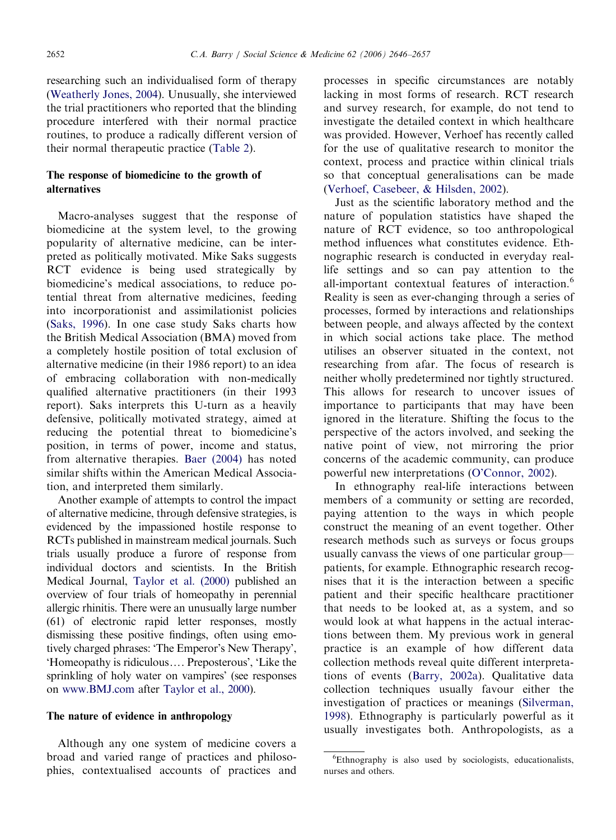researching such an individualised form of therapy [\(Weatherly Jones, 2004\)](#page-11-0). Unusually, she interviewed the trial practitioners who reported that the blinding procedure interfered with their normal practice routines, to produce a radically different version of their normal therapeutic practice [\(Table 2](#page-5-0)).

## The response of biomedicine to the growth of alternatives

Macro-analyses suggest that the response of biomedicine at the system level, to the growing popularity of alternative medicine, can be interpreted as politically motivated. Mike Saks suggests RCT evidence is being used strategically by biomedicine's medical associations, to reduce potential threat from alternative medicines, feeding into incorporationist and assimilationist policies ([Saks, 1996\)](#page-11-0). In one case study Saks charts how the British Medical Association (BMA) moved from a completely hostile position of total exclusion of alternative medicine (in their 1986 report) to an idea of embracing collaboration with non-medically qualified alternative practitioners (in their 1993 report). Saks interprets this U-turn as a heavily defensive, politically motivated strategy, aimed at reducing the potential threat to biomedicine's position, in terms of power, income and status, from alternative therapies. [Baer \(2004\)](#page-10-0) has noted similar shifts within the American Medical Association, and interpreted them similarly.

Another example of attempts to control the impact of alternative medicine, through defensive strategies, is evidenced by the impassioned hostile response to RCTs published in mainstream medical journals. Such trials usually produce a furore of response from individual doctors and scientists. In the British Medical Journal, [Taylor et al. \(2000\)](#page-11-0) published an overview of four trials of homeopathy in perennial allergic rhinitis. There were an unusually large number (61) of electronic rapid letter responses, mostly dismissing these positive findings, often using emotively charged phrases: 'The Emperor's New Therapy', 'Homeopathy is ridiculous.... Preposterous', 'Like the sprinkling of holy water on vampires' (see responses on [www.BMJ.com](http://www.BMJ.com) after [Taylor et al., 2000\)](#page-11-0).

## The nature of evidence in anthropology

Although any one system of medicine covers a broad and varied range of practices and philosophies, contextualised accounts of practices and processes in specific circumstances are notably lacking in most forms of research. RCT research and survey research, for example, do not tend to investigate the detailed context in which healthcare was provided. However, Verhoef has recently called for the use of qualitative research to monitor the context, process and practice within clinical trials so that conceptual generalisations can be made ([Verhoef, Casebeer,](#page-11-0) & [Hilsden, 2002](#page-11-0)).

Just as the scientific laboratory method and the nature of population statistics have shaped the nature of RCT evidence, so too anthropological method influences what constitutes evidence. Ethnographic research is conducted in everyday reallife settings and so can pay attention to the all-important contextual features of interaction.<sup>6</sup> Reality is seen as ever-changing through a series of processes, formed by interactions and relationships between people, and always affected by the context in which social actions take place. The method utilises an observer situated in the context, not researching from afar. The focus of research is neither wholly predetermined nor tightly structured. This allows for research to uncover issues of importance to participants that may have been ignored in the literature. Shifting the focus to the perspective of the actors involved, and seeking the native point of view, not mirroring the prior concerns of the academic community, can produce powerful new interpretations [\(O'Connor, 2002\)](#page-11-0).

In ethnography real-life interactions between members of a community or setting are recorded, paying attention to the ways in which people construct the meaning of an event together. Other research methods such as surveys or focus groups usually canvass the views of one particular group patients, for example. Ethnographic research recognises that it is the interaction between a specific patient and their specific healthcare practitioner that needs to be looked at, as a system, and so would look at what happens in the actual interactions between them. My previous work in general practice is an example of how different data collection methods reveal quite different interpretations of events [\(Barry, 2002a\)](#page-10-0). Qualitative data collection techniques usually favour either the investigation of practices or meanings ([Silverman,](#page-11-0) [1998](#page-11-0)). Ethnography is particularly powerful as it usually investigates both. Anthropologists, as a

<sup>6</sup> Ethnography is also used by sociologists, educationalists, nurses and others.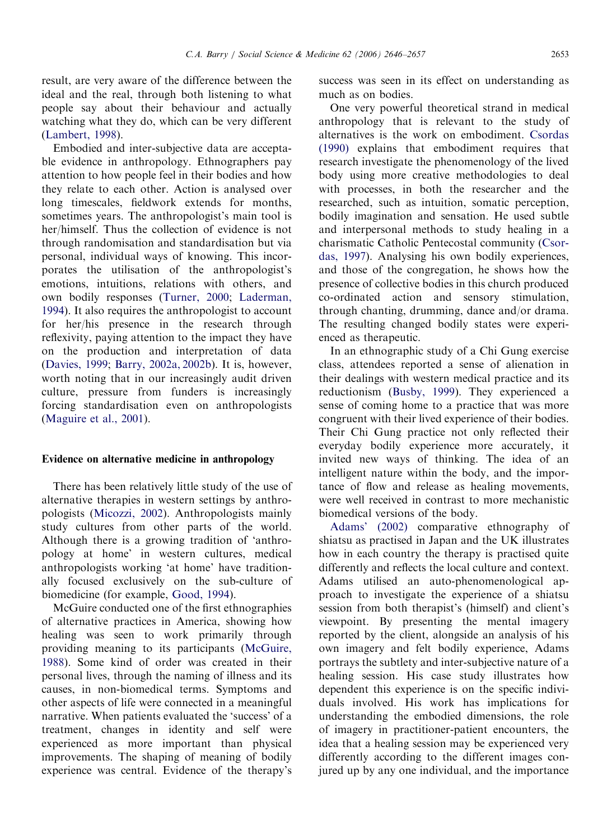result, are very aware of the difference between the ideal and the real, through both listening to what people say about their behaviour and actually watching what they do, which can be very different [\(Lambert, 1998](#page-10-0)).

Embodied and inter-subjective data are acceptable evidence in anthropology. Ethnographers pay attention to how people feel in their bodies and how they relate to each other. Action is analysed over long timescales, fieldwork extends for months, sometimes years. The anthropologist's main tool is her/himself. Thus the collection of evidence is not through randomisation and standardisation but via personal, individual ways of knowing. This incorporates the utilisation of the anthropologist's emotions, intuitions, relations with others, and own bodily responses [\(Turner, 2000;](#page-11-0) [Laderman,](#page-10-0) [1994\)](#page-10-0). It also requires the anthropologist to account for her/his presence in the research through reflexivity, paying attention to the impact they have on the production and interpretation of data [\(Davies, 1999](#page-10-0); [Barry, 2002a, 2002b\)](#page-10-0). It is, however, worth noting that in our increasingly audit driven culture, pressure from funders is increasingly forcing standardisation even on anthropologists [\(Maguire et al., 2001](#page-10-0)).

## Evidence on alternative medicine in anthropology

There has been relatively little study of the use of alternative therapies in western settings by anthropologists ([Micozzi, 2002](#page-11-0)). Anthropologists mainly study cultures from other parts of the world. Although there is a growing tradition of 'anthropology at home' in western cultures, medical anthropologists working 'at home' have traditionally focused exclusively on the sub-culture of biomedicine (for example, [Good, 1994\)](#page-10-0).

McGuire conducted one of the first ethnographies of alternative practices in America, showing how healing was seen to work primarily through providing meaning to its participants [\(McGuire,](#page-10-0) [1988\)](#page-10-0). Some kind of order was created in their personal lives, through the naming of illness and its causes, in non-biomedical terms. Symptoms and other aspects of life were connected in a meaningful narrative. When patients evaluated the 'success' of a treatment, changes in identity and self were experienced as more important than physical improvements. The shaping of meaning of bodily experience was central. Evidence of the therapy's

success was seen in its effect on understanding as much as on bodies.

One very powerful theoretical strand in medical anthropology that is relevant to the study of alternatives is the work on embodiment. [Csordas](#page-10-0) [\(1990\)](#page-10-0) explains that embodiment requires that research investigate the phenomenology of the lived body using more creative methodologies to deal with processes, in both the researcher and the researched, such as intuition, somatic perception, bodily imagination and sensation. He used subtle and interpersonal methods to study healing in a charismatic Catholic Pentecostal community [\(Csor](#page-10-0)[das, 1997](#page-10-0)). Analysing his own bodily experiences, and those of the congregation, he shows how the presence of collective bodies in this church produced co-ordinated action and sensory stimulation, through chanting, drumming, dance and/or drama. The resulting changed bodily states were experienced as therapeutic.

In an ethnographic study of a Chi Gung exercise class, attendees reported a sense of alienation in their dealings with western medical practice and its reductionism ([Busby, 1999](#page-10-0)). They experienced a sense of coming home to a practice that was more congruent with their lived experience of their bodies. Their Chi Gung practice not only reflected their everyday bodily experience more accurately, it invited new ways of thinking. The idea of an intelligent nature within the body, and the importance of flow and release as healing movements, were well received in contrast to more mechanistic biomedical versions of the body.

[Adams' \(2002\)](#page-10-0) comparative ethnography of shiatsu as practised in Japan and the UK illustrates how in each country the therapy is practised quite differently and reflects the local culture and context. Adams utilised an auto-phenomenological approach to investigate the experience of a shiatsu session from both therapist's (himself) and client's viewpoint. By presenting the mental imagery reported by the client, alongside an analysis of his own imagery and felt bodily experience, Adams portrays the subtlety and inter-subjective nature of a healing session. His case study illustrates how dependent this experience is on the specific individuals involved. His work has implications for understanding the embodied dimensions, the role of imagery in practitioner-patient encounters, the idea that a healing session may be experienced very differently according to the different images conjured up by any one individual, and the importance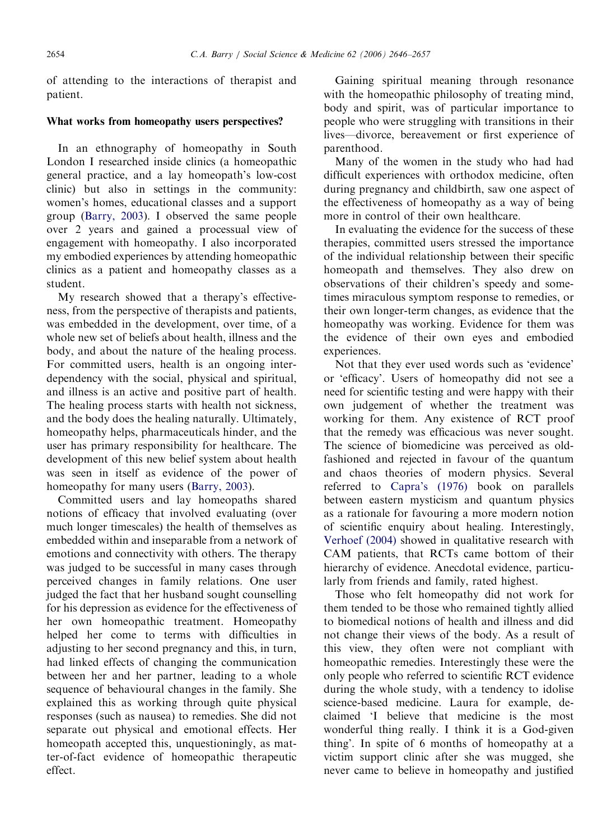of attending to the interactions of therapist and patient.

## What works from homeopathy users perspectives?

In an ethnography of homeopathy in South London I researched inside clinics (a homeopathic general practice, and a lay homeopath's low-cost clinic) but also in settings in the community: women's homes, educational classes and a support group ([Barry, 2003\)](#page-10-0). I observed the same people over 2 years and gained a processual view of engagement with homeopathy. I also incorporated my embodied experiences by attending homeopathic clinics as a patient and homeopathy classes as a student.

My research showed that a therapy's effectiveness, from the perspective of therapists and patients, was embedded in the development, over time, of a whole new set of beliefs about health, illness and the body, and about the nature of the healing process. For committed users, health is an ongoing interdependency with the social, physical and spiritual, and illness is an active and positive part of health. The healing process starts with health not sickness, and the body does the healing naturally. Ultimately, homeopathy helps, pharmaceuticals hinder, and the user has primary responsibility for healthcare. The development of this new belief system about health was seen in itself as evidence of the power of homeopathy for many users [\(Barry, 2003](#page-10-0)).

Committed users and lay homeopaths shared notions of efficacy that involved evaluating (over much longer timescales) the health of themselves as embedded within and inseparable from a network of emotions and connectivity with others. The therapy was judged to be successful in many cases through perceived changes in family relations. One user judged the fact that her husband sought counselling for his depression as evidence for the effectiveness of her own homeopathic treatment. Homeopathy helped her come to terms with difficulties in adjusting to her second pregnancy and this, in turn, had linked effects of changing the communication between her and her partner, leading to a whole sequence of behavioural changes in the family. She explained this as working through quite physical responses (such as nausea) to remedies. She did not separate out physical and emotional effects. Her homeopath accepted this, unquestioningly, as matter-of-fact evidence of homeopathic therapeutic effect.

Gaining spiritual meaning through resonance with the homeopathic philosophy of treating mind, body and spirit, was of particular importance to people who were struggling with transitions in their lives—divorce, bereavement or first experience of parenthood.

Many of the women in the study who had had difficult experiences with orthodox medicine, often during pregnancy and childbirth, saw one aspect of the effectiveness of homeopathy as a way of being more in control of their own healthcare.

In evaluating the evidence for the success of these therapies, committed users stressed the importance of the individual relationship between their specific homeopath and themselves. They also drew on observations of their children's speedy and sometimes miraculous symptom response to remedies, or their own longer-term changes, as evidence that the homeopathy was working. Evidence for them was the evidence of their own eyes and embodied experiences.

Not that they ever used words such as 'evidence' or 'efficacy'. Users of homeopathy did not see a need for scientific testing and were happy with their own judgement of whether the treatment was working for them. Any existence of RCT proof that the remedy was efficacious was never sought. The science of biomedicine was perceived as oldfashioned and rejected in favour of the quantum and chaos theories of modern physics. Several referred to [Capra's \(1976\)](#page-10-0) book on parallels between eastern mysticism and quantum physics as a rationale for favouring a more modern notion of scientific enquiry about healing. Interestingly, [Verhoef \(2004\)](#page-11-0) showed in qualitative research with CAM patients, that RCTs came bottom of their hierarchy of evidence. Anecdotal evidence, particularly from friends and family, rated highest.

Those who felt homeopathy did not work for them tended to be those who remained tightly allied to biomedical notions of health and illness and did not change their views of the body. As a result of this view, they often were not compliant with homeopathic remedies. Interestingly these were the only people who referred to scientific RCT evidence during the whole study, with a tendency to idolise science-based medicine. Laura for example, declaimed 'I believe that medicine is the most wonderful thing really. I think it is a God-given thing'. In spite of 6 months of homeopathy at a victim support clinic after she was mugged, she never came to believe in homeopathy and justified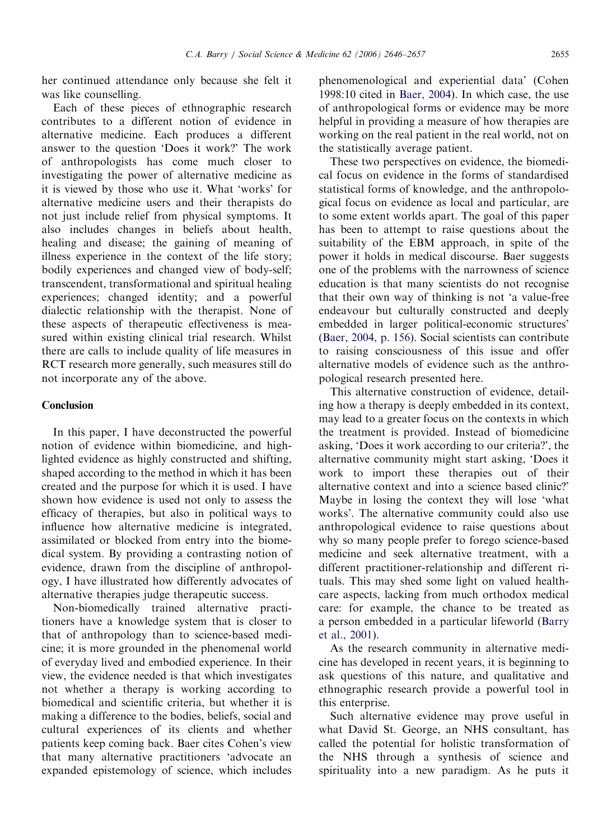her continued attendance only because she felt it was like counselling.

Each of these pieces of ethnographic research contributes to a different notion of evidence in alternative medicine. Each produces a different answer to the question 'Does it work?' The work of anthropologists has come much closer to investigating the power of alternative medicine as it is viewed by those who use it. What 'works' for alternative medicine users and their therapists do not just include relief from physical symptoms. It also includes changes in beliefs about health, healing and disease; the gaining of meaning of illness experience in the context of the life story; bodily experiences and changed view of body-self; transcendent, transformational and spiritual healing experiences; changed identity; and a powerful dialectic relationship with the therapist. None of these aspects of therapeutic effectiveness is measured within existing clinical trial research. Whilst there are calls to include quality of life measures in RCT research more generally, such measures still do not incorporate any of the above.

#### Conclusion

In this paper, I have deconstructed the powerful notion of evidence within biomedicine, and highlighted evidence as highly constructed and shifting, shaped according to the method in which it has been created and the purpose for which it is used. I have shown how evidence is used not only to assess the efficacy of therapies, but also in political ways to influence how alternative medicine is integrated, assimilated or blocked from entry into the biomedical system. By providing a contrasting notion of evidence, drawn from the discipline of anthropology, I have illustrated how differently advocates of alternative therapies judge therapeutic success.

Non-biomedically trained alternative practitioners have a knowledge system that is closer to that of anthropology than to science-based medicine; it is more grounded in the phenomenal world of everyday lived and embodied experience. In their view, the evidence needed is that which investigates not whether a therapy is working according to biomedical and scientific criteria, but whether it is making a difference to the bodies, beliefs, social and cultural experiences of its clients and whether patients keep coming back. Baer cites Cohen's view that many alternative practitioners 'advocate an expanded epistemology of science, which includes

phenomenological and experiential data' (Cohen 1998:10 cited in [Baer, 2004\)](#page-10-0). In which case, the use of anthropological forms or evidence may be more helpful in providing a measure of how therapies are working on the real patient in the real world, not on the statistically average patient.

These two perspectives on evidence, the biomedical focus on evidence in the forms of standardised statistical forms of knowledge, and the anthropological focus on evidence as local and particular, are to some extent worlds apart. The goal of this paper has been to attempt to raise questions about the suitability of the EBM approach, in spite of the power it holds in medical discourse. Baer suggests one of the problems with the narrowness of science education is that many scientists do not recognise that their own way of thinking is not 'a value-free endeavour but culturally constructed and deeply embedded in larger political-economic structures' [\(Baer, 2004, p. 156\)](#page-10-0). Social scientists can contribute to raising consciousness of this issue and offer alternative models of evidence such as the anthropological research presented here.

This alternative construction of evidence, detailing how a therapy is deeply embedded in its context, may lead to a greater focus on the contexts in which the treatment is provided. Instead of biomedicine asking, 'Does it work according to our criteria?', the alternative community might start asking, 'Does it work to import these therapies out of their alternative context and into a science based clinic?' Maybe in losing the context they will lose 'what works'. The alternative community could also use anthropological evidence to raise questions about why so many people prefer to forego science-based medicine and seek alternative treatment, with a different practitioner-relationship and different rituals. This may shed some light on valued healthcare aspects, lacking from much orthodox medical care: for example, the chance to be treated as a person embedded in a particular lifeworld ([Barry](#page-10-0) [et al., 2001](#page-10-0)).

As the research community in alternative medicine has developed in recent years, it is beginning to ask questions of this nature, and qualitative and ethnographic research provide a powerful tool in this enterprise.

Such alternative evidence may prove useful in what David St. George, an NHS consultant, has called the potential for holistic transformation of the NHS through a synthesis of science and spirituality into a new paradigm. As he puts it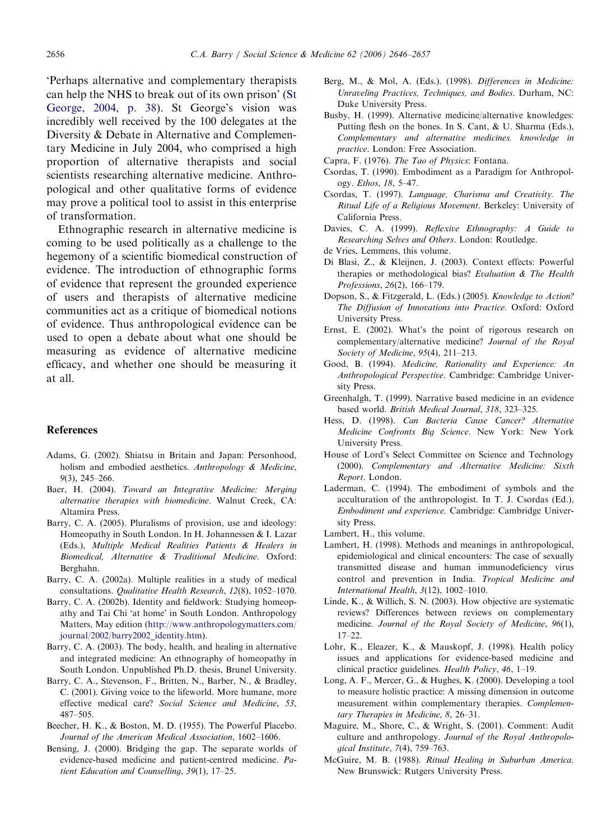<span id="page-10-0"></span>'Perhaps alternative and complementary therapists can help the NHS to break out of its own prison' [\(St](#page-11-0) [George, 2004, p. 38](#page-11-0)). St George's vision was incredibly well received by the 100 delegates at the Diversity & Debate in Alternative and Complementary Medicine in July 2004, who comprised a high proportion of alternative therapists and social scientists researching alternative medicine. Anthropological and other qualitative forms of evidence may prove a political tool to assist in this enterprise of transformation.

Ethnographic research in alternative medicine is coming to be used politically as a challenge to the hegemony of a scientific biomedical construction of evidence. The introduction of ethnographic forms of evidence that represent the grounded experience of users and therapists of alternative medicine communities act as a critique of biomedical notions of evidence. Thus anthropological evidence can be used to open a debate about what one should be measuring as evidence of alternative medicine efficacy, and whether one should be measuring it at all.

#### References

- Adams, G. (2002). Shiatsu in Britain and Japan: Personhood, holism and embodied aesthetics. Anthropology & Medicine, 9(3), 245–266.
- Baer, H. (2004). Toward an Integrative Medicine: Merging alternative therapies with biomedicine. Walnut Creek, CA: Altamira Press.
- Barry, C. A. (2005). Pluralisms of provision, use and ideology: Homeopathy in South London. In H. Johannessen & I. Lazar (Eds.), Multiple Medical Realities Patients & Healers in Biomedical, Alternative & Traditional Medicine. Oxford: Berghahn.
- Barry, C. A. (2002a). Multiple realities in a study of medical consultations. Qualitative Health Research, 12(8), 1052–1070.
- Barry, C. A. (2002b). Identity and fieldwork: Studying homeopathy and Tai Chi 'at home' in South London. Anthropology Matters, May edition ([http://www.anthropologymatters.com/](http://www.anthropologymatters.com/journal/2002/barry2002_identity.htm) [journal/2002/barry2002\\_identity.htm\)](http://www.anthropologymatters.com/journal/2002/barry2002_identity.htm).
- Barry, C. A. (2003). The body, health, and healing in alternative and integrated medicine: An ethnography of homeopathy in South London. Unpublished Ph.D. thesis, Brunel University.
- Barry, C. A., Stevenson, F., Britten, N., Barber, N., & Bradley, C. (2001). Giving voice to the lifeworld. More humane, more effective medical care? Social Science and Medicine, 53, 487–505.
- Beecher, H. K., & Boston, M. D. (1955). The Powerful Placebo. Journal of the American Medical Association, 1602–1606.
- Bensing, J. (2000). Bridging the gap. The separate worlds of evidence-based medicine and patient-centred medicine. Patient Education and Counselling, 39(1), 17–25.
- Berg, M., & Mol, A. (Eds.). (1998). Differences in Medicine: Unraveling Practices, Techniques, and Bodies. Durham, NC: Duke University Press.
- Busby, H. (1999). Alternative medicine/alternative knowledges: Putting flesh on the bones. In S. Cant, & U. Sharma (Eds.), Complementary and alternative medicines. knowledge in practice. London: Free Association.
- Capra, F. (1976). The Tao of Physics: Fontana.
- Csordas, T. (1990). Embodiment as a Paradigm for Anthropology. Ethos, 18, 5–47.
- Csordas, T. (1997). Language, Charisma and Creativity. The Ritual Life of a Religious Movement. Berkeley: University of California Press.
- Davies, C. A. (1999). Reflexive Ethnography: A Guide to Researching Selves and Others. London: Routledge.
- de Vries, Lemmens, this volume.
- Di Blasi, Z., & Kleijnen, J. (2003). Context effects: Powerful therapies or methodological bias? Evaluation & The Health Professions, 26(2), 166–179.
- Dopson, S., & Fitzgerald, L. (Eds.) (2005). Knowledge to Action? The Diffusion of Innovations into Practice. Oxford: Oxford University Press.
- Ernst, E. (2002). What's the point of rigorous research on complementary/alternative medicine? Journal of the Royal Society of Medicine, 95(4), 211-213.
- Good, B. (1994). Medicine, Rationality and Experience: An Anthropological Perspective. Cambridge: Cambridge University Press.
- Greenhalgh, T. (1999). Narrative based medicine in an evidence based world. British Medical Journal, 318, 323–325.
- Hess, D. (1998). Can Bacteria Cause Cancer? Alternative Medicine Confronts Big Science. New York: New York University Press.
- House of Lord's Select Committee on Science and Technology (2000). Complementary and Alternative Medicine: Sixth Report. London.
- Laderman, C. (1994). The embodiment of symbols and the acculturation of the anthropologist. In T. J. Csordas (Ed.), Embodiment and experience. Cambridge: Cambridge University Press.
- Lambert, H., this volume.
- Lambert, H. (1998). Methods and meanings in anthropological, epidemiological and clinical encounters: The case of sexually transmitted disease and human immunodeficiency virus control and prevention in India. Tropical Medicine and International Health, 3(12), 1002–1010.
- Linde, K., & Willich, S. N. (2003). How objective are systematic reviews? Differences between reviews on complementary medicine. Journal of the Royal Society of Medicine, 96(1), 17–22.
- Lohr, K., Eleazer, K., & Mauskopf, J. (1998). Health policy issues and applications for evidence-based medicine and clinical practice guidelines. Health Policy, 46, 1–19.
- Long, A. F., Mercer, G., & Hughes, K. (2000). Developing a tool to measure holistic practice: A missing dimension in outcome measurement within complementary therapies. Complementary Therapies in Medicine, 8, 26–31.
- Maguire, M., Shore, C., & Wright, S. (2001). Comment: Audit culture and anthropology. Journal of the Royal Anthropological Institute, 7(4), 759–763.
- McGuire, M. B. (1988). Ritual Healing in Suburban America. New Brunswick: Rutgers University Press.